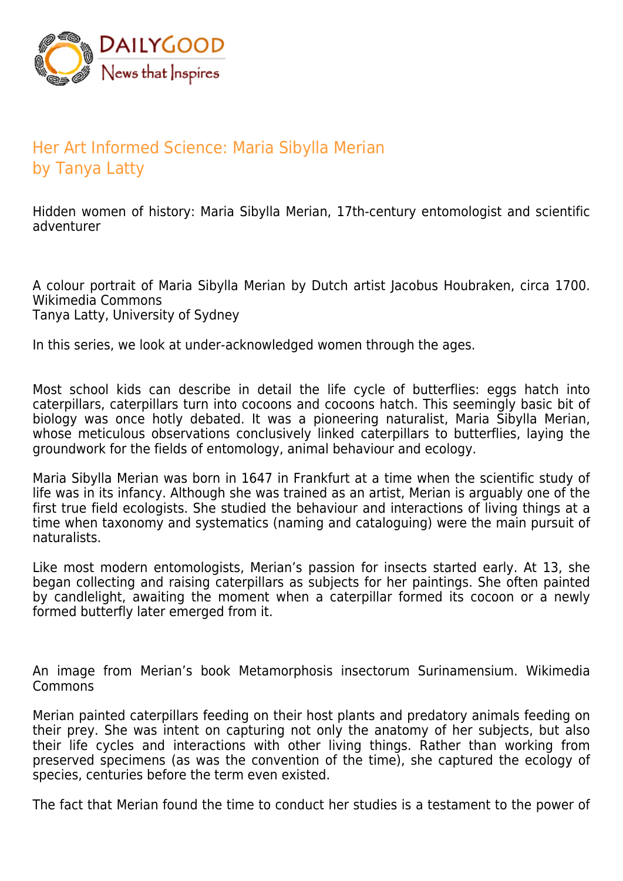

## Her Art Informed Science: Maria Sibylla Merian by Tanya Latty

Hidden women of history: Maria Sibylla Merian, 17th-century entomologist and scientific adventurer

A colour portrait of Maria Sibylla Merian by Dutch artist Jacobus Houbraken, circa 1700. Wikimedia Commons Tanya Latty, University of Sydney

In this series, we look at under-acknowledged women through the ages.

Most school kids can describe in detail the life cycle of butterflies: eggs hatch into caterpillars, caterpillars turn into cocoons and cocoons hatch. This seemingly basic bit of biology was once hotly debated. It was a pioneering naturalist, Maria Sibylla Merian, whose meticulous observations conclusively linked caterpillars to butterflies, laying the groundwork for the fields of entomology, animal behaviour and ecology.

Maria Sibylla Merian was born in 1647 in Frankfurt at a time when the scientific study of life was in its infancy. Although she was trained as an artist, Merian is arguably one of the first true field ecologists. She studied the behaviour and interactions of living things at a time when taxonomy and systematics (naming and cataloguing) were the main pursuit of naturalists.

Like most modern entomologists, Merian's passion for insects started early. At 13, she began collecting and raising caterpillars as subjects for her paintings. She often painted by candlelight, awaiting the moment when a caterpillar formed its cocoon or a newly formed butterfly later emerged from it.

An image from Merian's book Metamorphosis insectorum Surinamensium. Wikimedia Commons

Merian painted caterpillars feeding on their host plants and predatory animals feeding on their prey. She was intent on capturing not only the anatomy of her subjects, but also their life cycles and interactions with other living things. Rather than working from preserved specimens (as was the convention of the time), she captured the ecology of species, centuries before the term even existed.

The fact that Merian found the time to conduct her studies is a testament to the power of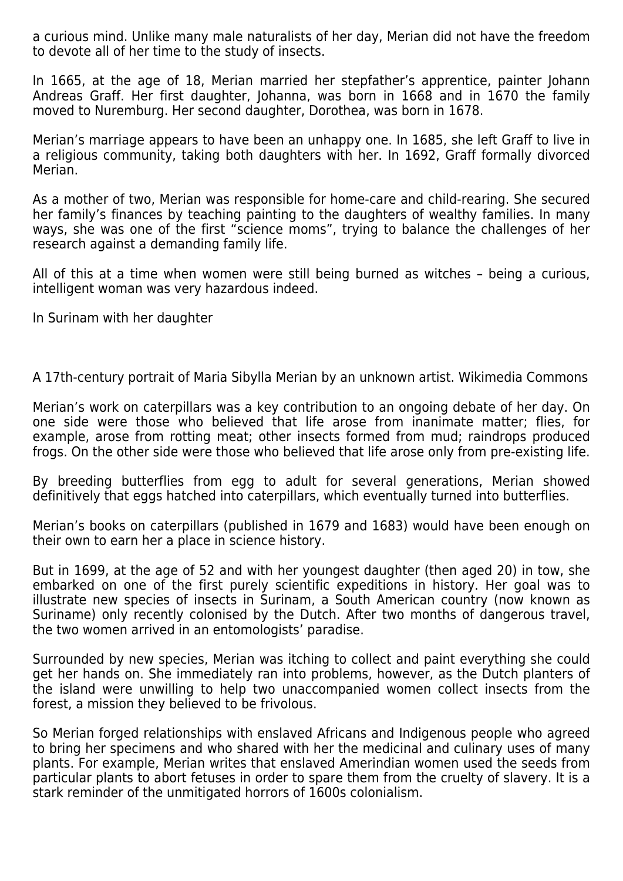a curious mind. Unlike many male naturalists of her day, Merian did not have the freedom to devote all of her time to the study of insects.

In 1665, at the age of 18, Merian married her stepfather's apprentice, painter Johann Andreas Graff. Her first daughter, Johanna, was born in 1668 and in 1670 the family moved to Nuremburg. Her second daughter, Dorothea, was born in 1678.

Merian's marriage appears to have been an unhappy one. In 1685, she left Graff to live in a religious community, taking both daughters with her. In 1692, Graff formally divorced Merian.

As a mother of two, Merian was responsible for home-care and child-rearing. She secured her family's finances by teaching painting to the daughters of wealthy families. In many ways, she was one of the first "science moms", trying to balance the challenges of her research against a demanding family life.

All of this at a time when women were still being burned as witches – being a curious, intelligent woman was very hazardous indeed.

In Surinam with her daughter

A 17th-century portrait of Maria Sibylla Merian by an unknown artist. Wikimedia Commons

Merian's work on caterpillars was a key contribution to an ongoing debate of her day. On one side were those who believed that life arose from inanimate matter; flies, for example, arose from rotting meat; other insects formed from mud; raindrops produced frogs. On the other side were those who believed that life arose only from pre-existing life.

By breeding butterflies from egg to adult for several generations, Merian showed definitively that eggs hatched into caterpillars, which eventually turned into butterflies.

Merian's books on caterpillars (published in 1679 and 1683) would have been enough on their own to earn her a place in science history.

But in 1699, at the age of 52 and with her youngest daughter (then aged 20) in tow, she embarked on one of the first purely scientific expeditions in history. Her goal was to illustrate new species of insects in Surinam, a South American country (now known as Suriname) only recently colonised by the Dutch. After two months of dangerous travel, the two women arrived in an entomologists' paradise.

Surrounded by new species, Merian was itching to collect and paint everything she could get her hands on. She immediately ran into problems, however, as the Dutch planters of the island were unwilling to help two unaccompanied women collect insects from the forest, a mission they believed to be frivolous.

So Merian forged relationships with enslaved Africans and Indigenous people who agreed to bring her specimens and who shared with her the medicinal and culinary uses of many plants. For example, Merian writes that enslaved Amerindian women used the seeds from particular plants to abort fetuses in order to spare them from the cruelty of slavery. It is a stark reminder of the unmitigated horrors of 1600s colonialism.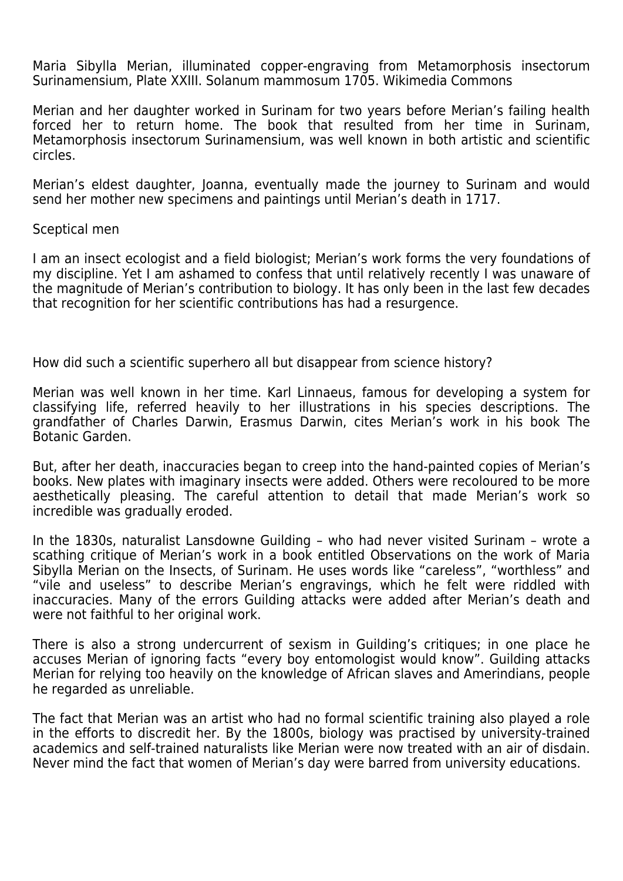Maria Sibylla Merian, illuminated copper-engraving from Metamorphosis insectorum Surinamensium, Plate XXIII. Solanum mammosum 1705. Wikimedia Commons

Merian and her daughter worked in Surinam for two years before Merian's failing health forced her to return home. The book that resulted from her time in Surinam, Metamorphosis insectorum Surinamensium, was well known in both artistic and scientific circles.

Merian's eldest daughter, Joanna, eventually made the journey to Surinam and would send her mother new specimens and paintings until Merian's death in 1717.

## Sceptical men

I am an insect ecologist and a field biologist; Merian's work forms the very foundations of my discipline. Yet I am ashamed to confess that until relatively recently I was unaware of the magnitude of Merian's contribution to biology. It has only been in the last few decades that recognition for her scientific contributions has had a resurgence.

How did such a scientific superhero all but disappear from science history?

Merian was well known in her time. Karl Linnaeus, famous for developing a system for classifying life, referred heavily to her illustrations in his species descriptions. The grandfather of Charles Darwin, Erasmus Darwin, cites Merian's work in his book The Botanic Garden.

But, after her death, inaccuracies began to creep into the hand-painted copies of Merian's books. New plates with imaginary insects were added. Others were recoloured to be more aesthetically pleasing. The careful attention to detail that made Merian's work so incredible was gradually eroded.

In the 1830s, naturalist Lansdowne Guilding – who had never visited Surinam – wrote a scathing critique of Merian's work in a book entitled Observations on the work of Maria Sibylla Merian on the Insects, of Surinam. He uses words like "careless", "worthless" and "vile and useless" to describe Merian's engravings, which he felt were riddled with inaccuracies. Many of the errors Guilding attacks were added after Merian's death and were not faithful to her original work.

There is also a strong undercurrent of sexism in Guilding's critiques; in one place he accuses Merian of ignoring facts "every boy entomologist would know". Guilding attacks Merian for relying too heavily on the knowledge of African slaves and Amerindians, people he regarded as unreliable.

The fact that Merian was an artist who had no formal scientific training also played a role in the efforts to discredit her. By the 1800s, biology was practised by university-trained academics and self-trained naturalists like Merian were now treated with an air of disdain. Never mind the fact that women of Merian's day were barred from university educations.